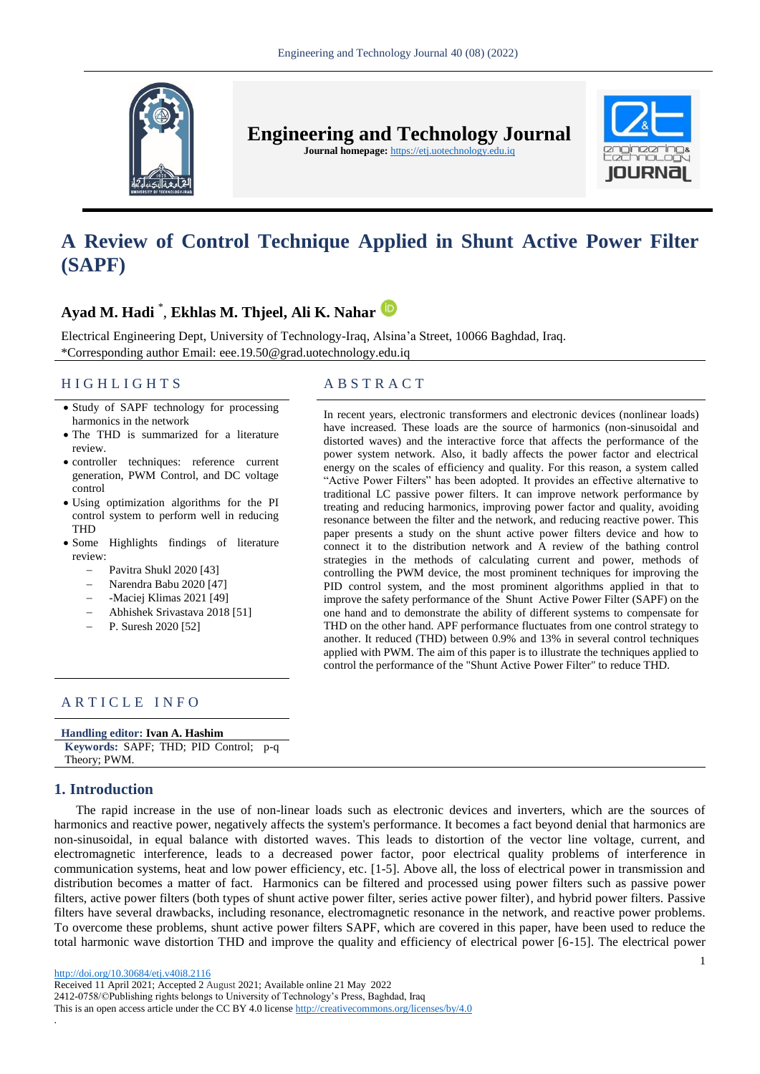

**Engineering and Technology Journal** 

**Journal homepage:** https://etj.uotechnology.edu.iq



# **A Review of Control Technique Applied in Shunt Active Power Filter (SAPF)**

# **Ayad M. Hadi** \* , **Ekhlas M. Thjeel, Ali K. Nahar**

Electrical Engineering Dept, University of Technology-Iraq, Alsina'a Street, 10066 Baghdad, Iraq. \*Corresponding author Email: eee.19.50@grad.uotechnology.edu.iq

# H I G H L I G H T S A B S T R A C T

- Study of SAPF technology for processing harmonics in the network
- The THD is summarized for a literature review.
- controller techniques: reference current generation, PWM Control, and DC voltage control
- Using optimization algorithms for the PI control system to perform well in reducing THD
- Some Highlights findings of literature review:
	- Pavitra Shukl 2020 [43]
	- Narendra Babu 2020 [47]
	- -Maciej Klimas 2021 [49]
	- Abhishek Srivastava 2018 [51]
	- P. Suresh 2020 [52]

In recent years, electronic transformers and electronic devices (nonlinear loads) have increased. These loads are the source of harmonics (non-sinusoidal and distorted waves) and the interactive force that affects the performance of the power system network. Also, it badly affects the power factor and electrical energy on the scales of efficiency and quality. For this reason, a system called "Active Power Filters" has been adopted. It provides an effective alternative to traditional LC passive power filters. It can improve network performance by treating and reducing harmonics, improving power factor and quality, avoiding resonance between the filter and the network, and reducing reactive power. This paper presents a study on the shunt active power filters device and how to connect it to the distribution network and A review of the bathing control strategies in the methods of calculating current and power, methods of controlling the PWM device, the most prominent techniques for improving the PID control system, and the most prominent algorithms applied in that to improve the safety performance of the Shunt Active Power Filter (SAPF) on the one hand and to demonstrate the ability of different systems to compensate for THD on the other hand. APF performance fluctuates from one control strategy to another. It reduced (THD) between 0.9% and 13% in several control techniques applied with PWM. The aim of this paper is to illustrate the techniques applied to control the performance of the "Shunt Active Power Filter" to reduce THD.

### ARTICLE INFO

| Handling editor: Ivan A. Hashim       |  |  |  |  |  |  |
|---------------------------------------|--|--|--|--|--|--|
| Keywords: SAPF; THD; PID Control; p-q |  |  |  |  |  |  |
| Theory; PWM.                          |  |  |  |  |  |  |

### **1. Introduction**

The rapid increase in the use of non-linear loads such as electronic devices and inverters, which are the sources of harmonics and reactive power, negatively affects the system's performance. It becomes a fact beyond denial that harmonics are non-sinusoidal, in equal balance with distorted waves. This leads to distortion of the vector line voltage, current, and electromagnetic interference, leads to a decreased power factor, poor electrical quality problems of interference in communication systems, heat and low power efficiency, etc. [1-5]. Above all, the loss of electrical power in transmission and distribution becomes a matter of fact. Harmonics can be filtered and processed using power filters such as passive power filters, active power filters (both types of shunt active power filter, series active power filter), and hybrid power filters. Passive filters have several drawbacks, including resonance, electromagnetic resonance in the network, and reactive power problems. To overcome these problems, shunt active power filters SAPF, which are covered in this paper, have been used to reduce the total harmonic wave distortion THD and improve the quality and efficiency of electrical power [6-15]. The electrical power

.

Received 11 April 2021; Accepted 2 August 2021; Available online 21 May 2022 2412-0758/©Publishing rights belongs to University of Technology's Press, Baghdad, Iraq This is an open access article under the CC BY 4.0 license http://creativecommons.org/licenses/by/4.0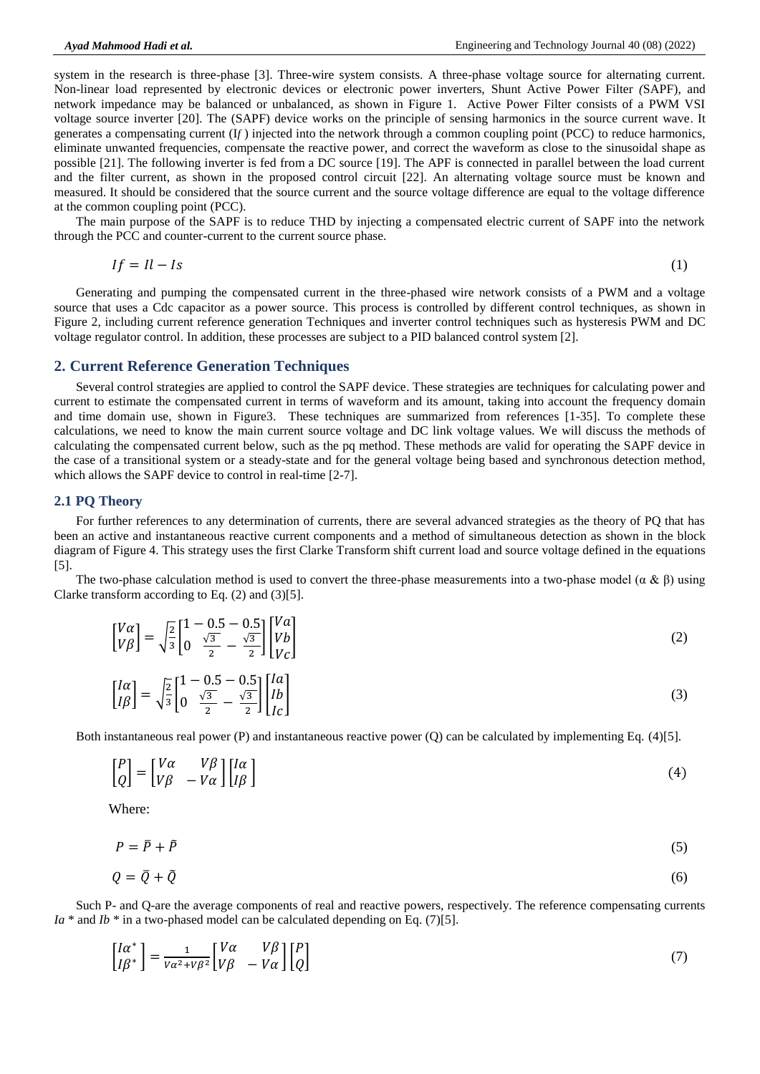system in the research is three-phase [3]. Three-wire system consists. A three-phase voltage source for alternating current. Non-linear load represented by electronic devices or electronic power inverters, Shunt Active Power Filter *(*SAPF), and network impedance may be balanced or unbalanced, as shown in Figure 1. Active Power Filter consists of a PWM VSI voltage source inverter [20]. The (SAPF) device works on the principle of sensing harmonics in the source current wave. It generates a compensating current (I*f* ) injected into the network through a common coupling point (PCC) to reduce harmonics, eliminate unwanted frequencies, compensate the reactive power, and correct the waveform as close to the sinusoidal shape as possible [21]. The following inverter is fed from a DC source [19]. The APF is connected in parallel between the load current and the filter current, as shown in the proposed control circuit [22]. An alternating voltage source must be known and measured. It should be considered that the source current and the source voltage difference are equal to the voltage difference at the common coupling point (PCC).

The main purpose of the SAPF is to reduce THD by injecting a compensated electric current of SAPF into the network through the PCC and counter-current to the current source phase.

$$
If = Il - Is \tag{1}
$$

Generating and pumping the compensated current in the three-phased wire network consists of a PWM and a voltage source that uses a Cdc capacitor as a power source. This process is controlled by different control techniques, as shown in Figure 2, including current reference generation Techniques and inverter control techniques such as hysteresis PWM and DC voltage regulator control. In addition, these processes are subject to a PID balanced control system [2].

#### **2. Current Reference Generation Techniques**

Several control strategies are applied to control the SAPF device. These strategies are techniques for calculating power and current to estimate the compensated current in terms of waveform and its amount, taking into account the frequency domain and time domain use, shown in Figure3. These techniques are summarized from references [1-35]. To complete these calculations, we need to know the main current source voltage and DC link voltage values. We will discuss the methods of calculating the compensated current below, such as the pq method. These methods are valid for operating the SAPF device in the case of a transitional system or a steady-state and for the general voltage being based and synchronous detection method, which allows the SAPF device to control in real-time [2-7].

#### **2.1 PQ Theory**

For further references to any determination of currents, there are several advanced strategies as the theory of PQ that has been an active and instantaneous reactive current components and a method of simultaneous detection as shown in the block diagram of Figure 4. This strategy uses the first Clarke Transform shift current load and source voltage defined in the equations [5].

The two-phase calculation method is used to convert the three-phase measurements into a two-phase model ( $\alpha \& \beta$ ) using Clarke transform according to Eq. (2) and (3)[5].

$$
\begin{bmatrix} V\alpha \\ V\beta \end{bmatrix} = \sqrt{\frac{2}{3}} \begin{bmatrix} 1 - 0.5 - 0.5 \\ 0 & \frac{\sqrt{3}}{2} - \frac{\sqrt{3}}{2} \end{bmatrix} \begin{bmatrix} Va \\ Vb \\ Vc \end{bmatrix}
$$
 (2)

$$
\begin{bmatrix} I\alpha \\ I\beta \end{bmatrix} = \sqrt{\frac{2}{3}} \begin{bmatrix} 1 - 0.5 - 0.5 \\ 0 & \frac{\sqrt{3}}{2} - \frac{\sqrt{3}}{2} \end{bmatrix} \begin{bmatrix} Ia \\ Ib \\ Ic \end{bmatrix}
$$
(3)

Both instantaneous real power (P) and instantaneous reactive power (Q) can be calculated by implementing Eq. (4)[5].

$$
\begin{bmatrix} P \\ Q \end{bmatrix} = \begin{bmatrix} V\alpha & V\beta \\ V\beta & -V\alpha \end{bmatrix} \begin{bmatrix} I\alpha \\ I\beta \end{bmatrix}
$$
 (4)

Where:

$$
P = \overline{P} + \tilde{P} \tag{5}
$$

$$
Q = \bar{Q} + \tilde{Q} \tag{6}
$$

Such P- and Q-are the average components of real and reactive powers, respectively. The reference compensating currents *Ia*  $*$  and *Ib*  $*$  in a two-phased model can be calculated depending on Eq. (7)[5].

$$
\begin{bmatrix} I\alpha^* \\ I\beta^* \end{bmatrix} = \frac{1}{v\alpha^2 + v\beta^2} \begin{bmatrix} V\alpha & V\beta \\ V\beta & -V\alpha \end{bmatrix} \begin{bmatrix} P \\ Q \end{bmatrix}
$$
(7)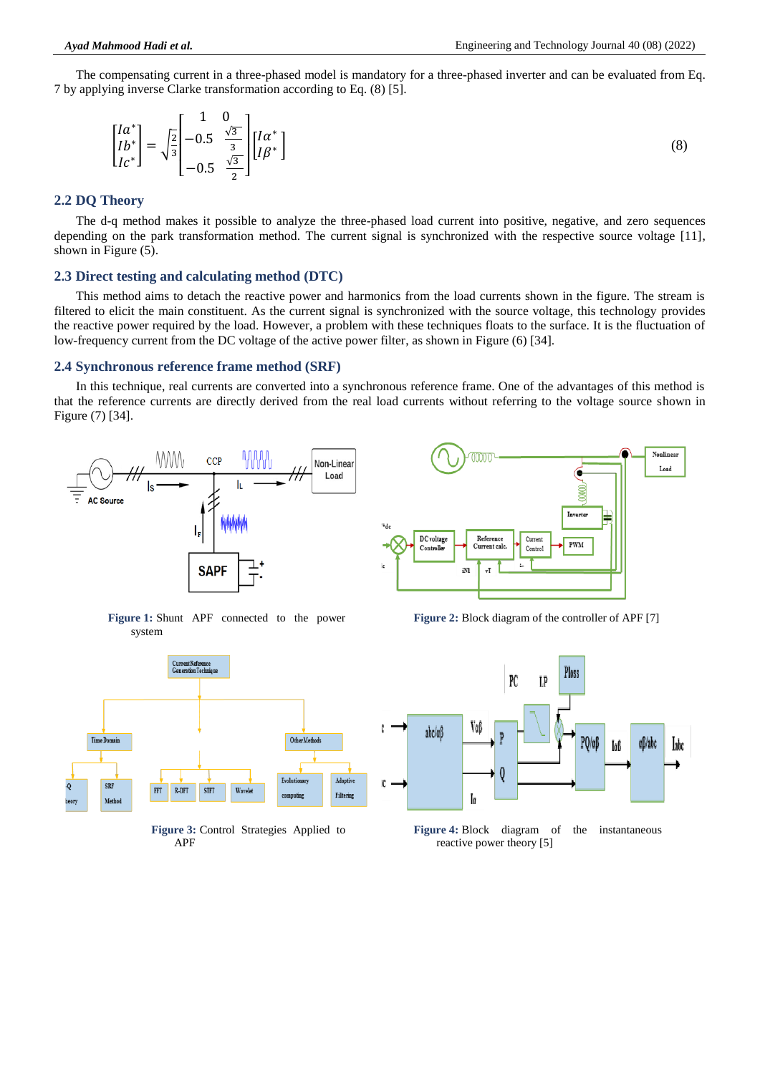The compensating current in a three-phased model is mandatory for a three-phased inverter and can be evaluated from Eq. 7 by applying inverse Clarke transformation according to Eq. (8) [5].

$$
\begin{bmatrix} Ia^* \\ Ib^* \\ Ic^* \end{bmatrix} = \sqrt{\frac{2}{3}} \begin{bmatrix} 1 & 0 \\ -0.5 & \frac{\sqrt{3}}{3} \\ -0.5 & \frac{\sqrt{3}}{2} \end{bmatrix} \begin{bmatrix} Ia^* \\ I\beta^* \end{bmatrix}
$$
(8)

#### **2.2 DQ Theory**

The d-q method makes it possible to analyze the three-phased load current into positive, negative, and zero sequences depending on the park transformation method. The current signal is synchronized with the respective source voltage [11], shown in Figure (5).

#### **2.3 Direct testing and calculating method (DTC)**

This method aims to detach the reactive power and harmonics from the load currents shown in the figure. The stream is filtered to elicit the main constituent. As the current signal is synchronized with the source voltage, this technology provides the reactive power required by the load. However, a problem with these techniques floats to the surface. It is the fluctuation of low-frequency current from the DC voltage of the active power filter, as shown in Figure (6) [34].

#### **2.4 Synchronous reference frame method (SRF)**

In this technique, real currents are converted into a synchronous reference frame. One of the advantages of this method is that the reference currents are directly derived from the real load currents without referring to the voltage source shown in Figure (7) [34].



**Figure 1:** Shunt APF connected to the power system



**Figure 3:** Control Strategies Applied to APF



**Figure 2:** Block diagram of the controller of APF [7]



reactive power theory [5]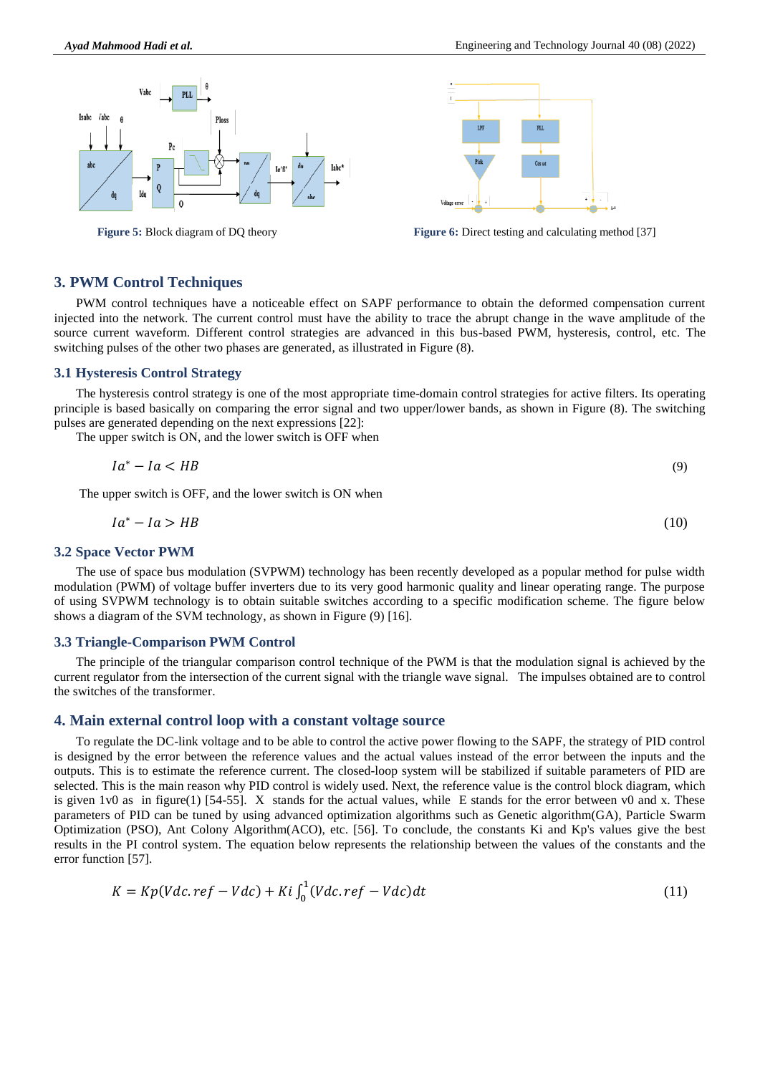



**Figure 5:** Block diagram of DQ theory **Figure 6:** Direct testing and calculating method [37]

#### **3. PWM Control Techniques**

PWM control techniques have a noticeable effect on SAPF performance to obtain the deformed compensation current injected into the network. The current control must have the ability to trace the abrupt change in the wave amplitude of the source current waveform. Different control strategies are advanced in this bus-based PWM, hysteresis, control, etc. The switching pulses of the other two phases are generated, as illustrated in Figure (8).

#### **3.1 Hysteresis Control Strategy**

The hysteresis control strategy is one of the most appropriate time-domain control strategies for active filters. Its operating principle is based basically on comparing the error signal and two upper/lower bands, as shown in Figure (8). The switching pulses are generated depending on the next expressions [22]:

The upper switch is ON, and the lower switch is OFF when

$$
Ia^* - Ia < HB \tag{9}
$$

The upper switch is OFF, and the lower switch is ON when

$$
Ia^* - Ia > HB \tag{10}
$$

#### **3.2 Space Vector PWM**

The use of space bus modulation (SVPWM) technology has been recently developed as a popular method for pulse width modulation (PWM) of voltage buffer inverters due to its very good harmonic quality and linear operating range. The purpose of using SVPWM technology is to obtain suitable switches according to a specific modification scheme. The figure below shows a diagram of the SVM technology, as shown in Figure (9) [16].

#### **3.3 Triangle-Comparison PWM Control**

The principle of the triangular comparison control technique of the PWM is that the modulation signal is achieved by the current regulator from the intersection of the current signal with the triangle wave signal. The impulses obtained are to control the switches of the transformer.

#### **4. Main external control loop with a constant voltage source**

To regulate the DC-link voltage and to be able to control the active power flowing to the SAPF, the strategy of PID control is designed by the error between the reference values and the actual values instead of the error between the inputs and the outputs. This is to estimate the reference current. The closed-loop system will be stabilized if suitable parameters of PID are selected. This is the main reason why PID control is widely used. Next, the reference value is the control block diagram, which is given  $1v0$  as in figure(1) [54-55]. X stands for the actual values, while E stands for the error between v0 and x. These parameters of PID can be tuned by using advanced optimization algorithms such as Genetic algorithm(GA), Particle Swarm Optimization (PSO), Ant Colony Algorithm(ACO), etc. [56]. To conclude, the constants Ki and Kp's values give the best results in the PI control system. The equation below represents the relationship between the values of the constants and the error function [57].

$$
K = Kp(Vdc.ref - Vdc) + Ki \int_0^1 (Vdc.ref - Vdc)dt \tag{11}
$$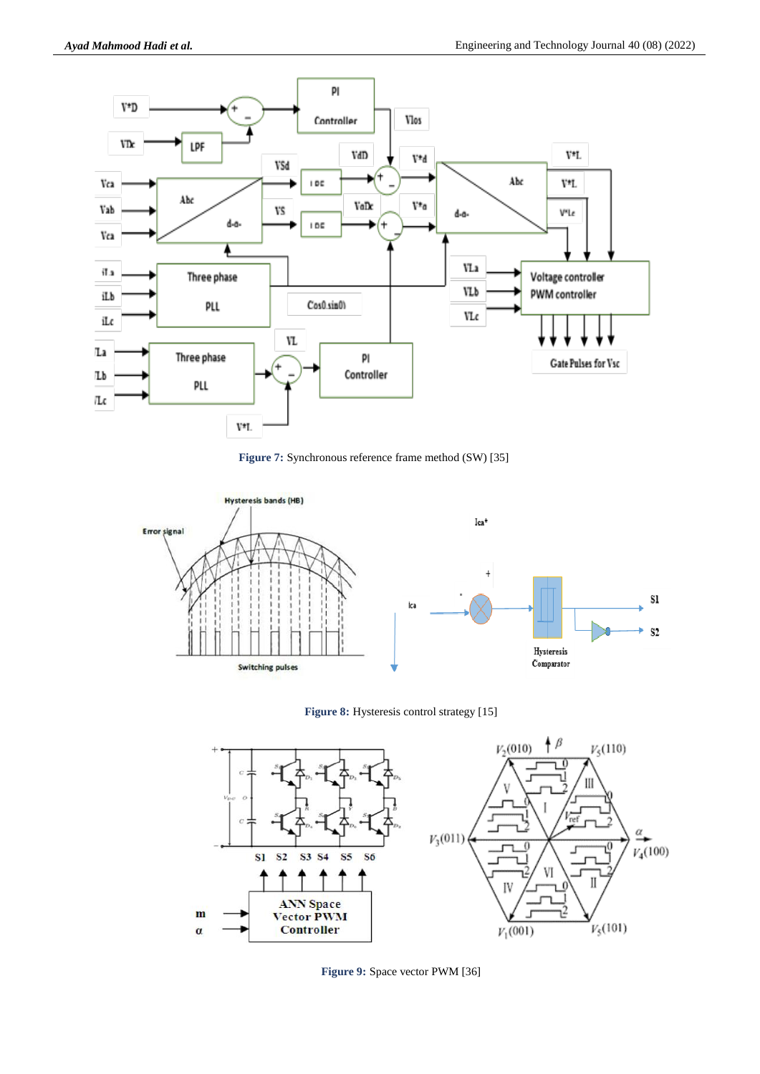

**Figure 7:** Synchronous reference frame method (SW) [35]







**Figure 9:** Space vector PWM [36]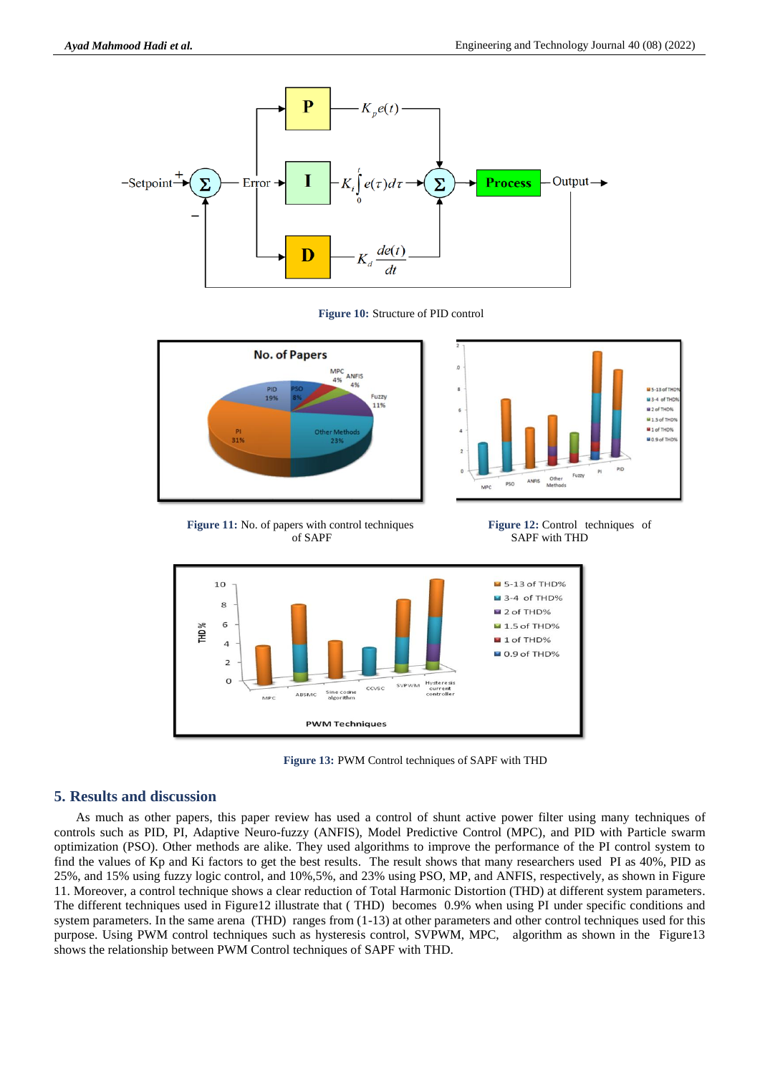







**Figure 11:** No. of papers with control techniques of SAPF

**Figure 12:** Control techniques of SAPF with THD



**Figure 13:** PWM Control techniques of SAPF with THD

#### **5. Results and discussion**

As much as other papers, this paper review has used a control of shunt active power filter using many techniques of controls such as PID, PI, Adaptive Neuro-fuzzy (ANFIS), Model Predictive Control (MPC), and PID with Particle swarm optimization (PSO). Other methods are alike. They used algorithms to improve the performance of the PI control system to find the values of Kp and Ki factors to get the best results. The result shows that many researchers used PI as 40%, PID as 25%, and 15% using fuzzy logic control, and 10%,5%, and 23% using PSO, MP, and ANFIS, respectively, as shown in Figure 11. Moreover, a control technique shows a clear reduction of Total Harmonic Distortion (THD) at different system parameters. The different techniques used in Figure12 illustrate that ( THD) becomes 0.9% when using PI under specific conditions and system parameters. In the same arena (THD) ranges from  $(1-13)$  at other parameters and other control techniques used for this purpose. Using PWM control techniques such as hysteresis control, SVPWM, MPC, algorithm as shown in the Figure13 shows the relationship between PWM Control techniques of SAPF with THD.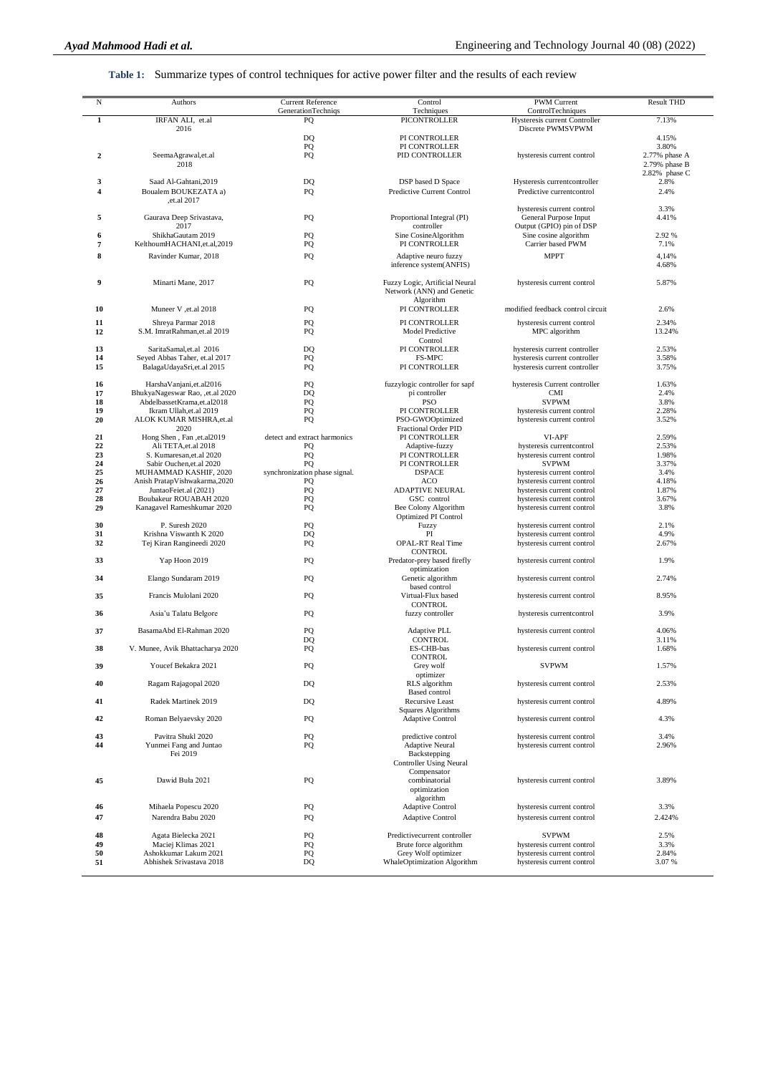**Table 1:** Summarize types of control techniques for active power filter and the results of each review

| N                       | Authors                                                | <b>Current Reference</b>            | Control                                               | PWM Current                                              | <b>Result THD</b> |
|-------------------------|--------------------------------------------------------|-------------------------------------|-------------------------------------------------------|----------------------------------------------------------|-------------------|
|                         |                                                        | <b>GenerationTechniqs</b>           | Techniques                                            | ControlTechniques                                        |                   |
| $\mathbf{1}$            | IRFAN ALI, et.al                                       | PQ                                  | <b>PICONTROLLER</b>                                   | Hysteresis current Controller                            | 7.13%             |
|                         | 2016                                                   |                                     |                                                       | Discrete PWMSVPWM                                        |                   |
|                         |                                                        | D <sub>O</sub><br>PQ                | PI CONTROLLER<br>PI CONTROLLER                        |                                                          | 4.15%<br>3.80%    |
| $\boldsymbol{2}$        | SeemaAgrawal,et.al                                     | PQ                                  | PID CONTROLLER                                        | hysteresis current control                               | 2.77% phase A     |
|                         | 2018                                                   |                                     |                                                       |                                                          | $2.79%$ phase B   |
|                         |                                                        |                                     |                                                       |                                                          | 2.82% phase C     |
| 3                       | Saad Al-Gahtani, 2019                                  | DQ                                  | DSP based D Space                                     | Hysteresis currentcontroller                             | 2.8%              |
| $\overline{\mathbf{4}}$ | Boualem BOUKEZATA a)<br>et.al 2017,                    | PO                                  | Predictive Current Control                            | Predictive currentcontrol                                | 2.4%              |
|                         |                                                        |                                     |                                                       | hysteresis current control                               | 3.3%              |
| 5                       | Gaurava Deep Srivastava,                               | PQ                                  | Proportional Integral (PI)                            | General Purpose Input                                    | 4.41%             |
|                         | 2017                                                   |                                     | controller                                            | Output (GPIO) pin of DSP                                 |                   |
| 6                       | ShikhaGautam 2019<br>KelthoumHACHANI, et.al, 2019      | PO                                  | Sine CosineAlgorithm<br>PI CONTROLLER                 | Sine cosine algorithm                                    | 2.92 %            |
| 7                       |                                                        | PQ                                  |                                                       | Carrier based PWM                                        | 7.1%              |
| 8                       | Ravinder Kumar, 2018                                   | PQ                                  | Adaptive neuro fuzzy<br>inference system(ANFIS)       | <b>MPPT</b>                                              | 4,14%<br>4.68%    |
|                         |                                                        |                                     |                                                       |                                                          |                   |
| 9                       | Minarti Mane, 2017                                     | PQ                                  | Fuzzy Logic, Artificial Neural                        | hysteresis current control                               | 5.87%             |
|                         |                                                        |                                     | Network (ANN) and Genetic                             |                                                          |                   |
| 10                      | Muneer V, et.al 2018                                   | PQ                                  | Algorithm<br>PI CONTROLLER                            | modified feedback control circuit                        | 2.6%              |
|                         |                                                        |                                     |                                                       |                                                          |                   |
| 11                      | Shreya Parmar 2018                                     | PO                                  | PI CONTROLLER                                         | hysteresis current control                               | 2.34%             |
| 12                      | S.M. ImratRahman, et.al 2019                           | PQ                                  | Model Predictive<br>Control                           | MPC algorithm                                            | 13.24%            |
| 13                      | SaritaSamal, et.al 2016                                | D <sub>O</sub>                      | PI CONTROLLER                                         | hysteresis current controller                            | 2.53%             |
| 14                      | Seyed Abbas Taher, et.al 2017                          | PQ                                  | FS-MPC                                                | hysteresis current controller                            | 3.58%             |
| 15                      | BalagaUdayaSri,et.al 2015                              | PQ                                  | PI CONTROLLER                                         | hysteresis current controller                            | 3.75%             |
| 16                      | HarshaVanjani, et. al2016                              | PO                                  | fuzzylogic controller for sapf                        | hysteresis Current controller                            | 1.63%             |
| 17                      | BhukyaNageswar Rao, ,et.al 2020                        | DQ                                  | pi controller                                         | <b>CMI</b>                                               | 2.4%              |
| 18                      | AbdelbassetKrama, et. al2018                           | PQ                                  | PSO                                                   | <b>SVPWM</b>                                             | 3.8%              |
| 19                      | Ikram Ullah, et. al 2019                               | PQ                                  | PI CONTROLLER                                         | hysteresis current control                               | 2.28%             |
| 20                      | ALOK KUMAR MISHRA, et.al<br>2020                       | PQ                                  | PSO-GWOOptimized                                      | hysteresis current control                               | 3.52%             |
| 21                      | Hong Shen, Fan, et.al2019                              | detect and extract harmonics        | Fractional Order PID<br>PI CONTROLLER                 | VI-APF                                                   | 2.59%             |
| 22                      | Ali TETA, et.al 2018                                   | PQ                                  | Adaptive-fuzzy                                        | hysteresis currentcontrol                                | 2.53%             |
| 23                      | S. Kumaresan, et. al 2020                              | PQ                                  | PI CONTROLLER                                         | hysteresis current control                               | 1.98%             |
| 24                      | Sabir Ouchen, et.al 2020                               | PQ                                  | PI CONTROLLER                                         | <b>SVPWM</b>                                             | 3.37%             |
| 25<br>26                | MUHAMMAD KASHIF, 2020<br>Anish PratapVishwakarma, 2020 | synchronization phase signal.<br>PQ | <b>DSPACE</b><br>ACO                                  | hysteresis current control<br>hysteresis current control | 3.4%<br>4.18%     |
| 27                      | JuntaoFeiet.al (2021)                                  | PQ                                  | ADAPTIVE NEURAL                                       | hysteresis current control                               | 1.87%             |
| 28                      | Boubakeur ROUABAH 2020                                 | PQ                                  | GSC control                                           | hysteresis current control                               | 3.67%             |
| 29                      | Kanagavel Rameshkumar 2020                             | PQ                                  | Bee Colony Algorithm                                  | hysteresis current control                               | 3.8%              |
| 30                      | P. Suresh 2020                                         | PO                                  | Optimized PI Control<br>Fuzzy                         | hysteresis current control                               | 2.1%              |
| 31                      | Krishna Viswanth K 2020                                | DQ                                  | PI                                                    | hysteresis current control                               | 4.9%              |
| 32                      | Tej Kiran Rangineedi 2020                              | PO                                  | <b>OPAL-RT Real Time</b>                              | hysteresis current control                               | 2.67%             |
| 33                      |                                                        |                                     | <b>CONTROL</b>                                        |                                                          | 1.9%              |
|                         | Yap Hoon 2019                                          | PQ                                  | Predator-prey based firefly<br>optimization           | hysteresis current control                               |                   |
| 34                      | Elango Sundaram 2019                                   | PQ                                  | Genetic algorithm                                     | hysteresis current control                               | 2.74%             |
|                         |                                                        |                                     | based control                                         |                                                          |                   |
| 35                      | Francis Mulolani 2020                                  | PQ                                  | Virtual-Flux based<br><b>CONTROL</b>                  | hysteresis current control                               | 8.95%             |
| 36                      | Asia'u Talatu Belgore                                  | PQ                                  | fuzzy controller                                      | hysteresis currentcontrol                                | 3.9%              |
|                         |                                                        |                                     |                                                       |                                                          |                   |
| 37                      | BasamaAbd El-Rahman 2020                               | PO                                  | Adaptive PLL                                          | hysteresis current control                               | 4.06%             |
| 38                      | V. Munee, Avik Bhattacharya 2020                       | DQ<br>PQ                            | <b>CONTROL</b><br>ES-CHB-bas                          | hysteresis current control                               | 3.11%<br>1.68%    |
|                         |                                                        |                                     | <b>CONTROL</b>                                        |                                                          |                   |
| 39                      | Youcef Bekakra 2021                                    | PQ                                  | Grey wolf                                             | <b>SVPWM</b>                                             | 1.57%             |
|                         |                                                        |                                     | optimizer                                             |                                                          |                   |
| 40                      | Ragam Rajagopal 2020                                   | DQ                                  | RLS algorithm<br><b>Based control</b>                 | hysteresis current control                               | 2.53%             |
| 41                      | Radek Martinek 2019                                    | DQ                                  | Recursive Least                                       | hysteresis current control                               | 4.89%             |
|                         |                                                        |                                     | Squares Algorithms                                    |                                                          |                   |
| 42                      | Roman Belyaevsky 2020                                  | PQ                                  | <b>Adaptive Control</b>                               | hysteresis current control                               | 4.3%              |
| 43                      | Pavitra Shukl 2020                                     | PQ                                  | predictive control                                    | hysteresis current control                               | 3.4%              |
| 44                      | Yunmei Fang and Juntao                                 | PQ                                  | <b>Adaptive Neural</b>                                | hysteresis current control                               | 2.96%             |
|                         | Fei 2019                                               |                                     | Backstepping                                          |                                                          |                   |
|                         |                                                        |                                     | <b>Controller Using Neural</b>                        |                                                          |                   |
| 45                      | Dawid Buła 2021                                        |                                     | Compensator                                           |                                                          |                   |
|                         |                                                        | PQ                                  | combinatorial<br>optimization                         | hysteresis current control                               | 3.89%             |
|                         |                                                        |                                     | algorithm                                             |                                                          |                   |
| 46                      | Mihaela Popescu 2020                                   | PQ                                  | <b>Adaptive Control</b>                               | hysteresis current control                               | 3.3%              |
| 47                      | Narendra Babu 2020                                     | PQ                                  | <b>Adaptive Control</b>                               | hysteresis current control                               | 2.424%            |
|                         |                                                        |                                     |                                                       |                                                          |                   |
| 48<br>49                | Agata Bielecka 2021<br>Maciej Klimas 2021              | PQ<br>PQ                            | Predictivecurrent controller<br>Brute force algorithm | <b>SVPWM</b><br>hysteresis current control               | 2.5%<br>3.3%      |
| 50                      | Ashokkumar Lakum 2021                                  | PQ                                  | Grey Wolf optimizer                                   | hysteresis current control                               | 2.84%             |
| 51                      | Abhishek Srivastava 2018                               | DQ                                  | WhaleOptimization Algorithm                           | hysteresis current control                               | 3.07%             |
|                         |                                                        |                                     |                                                       |                                                          |                   |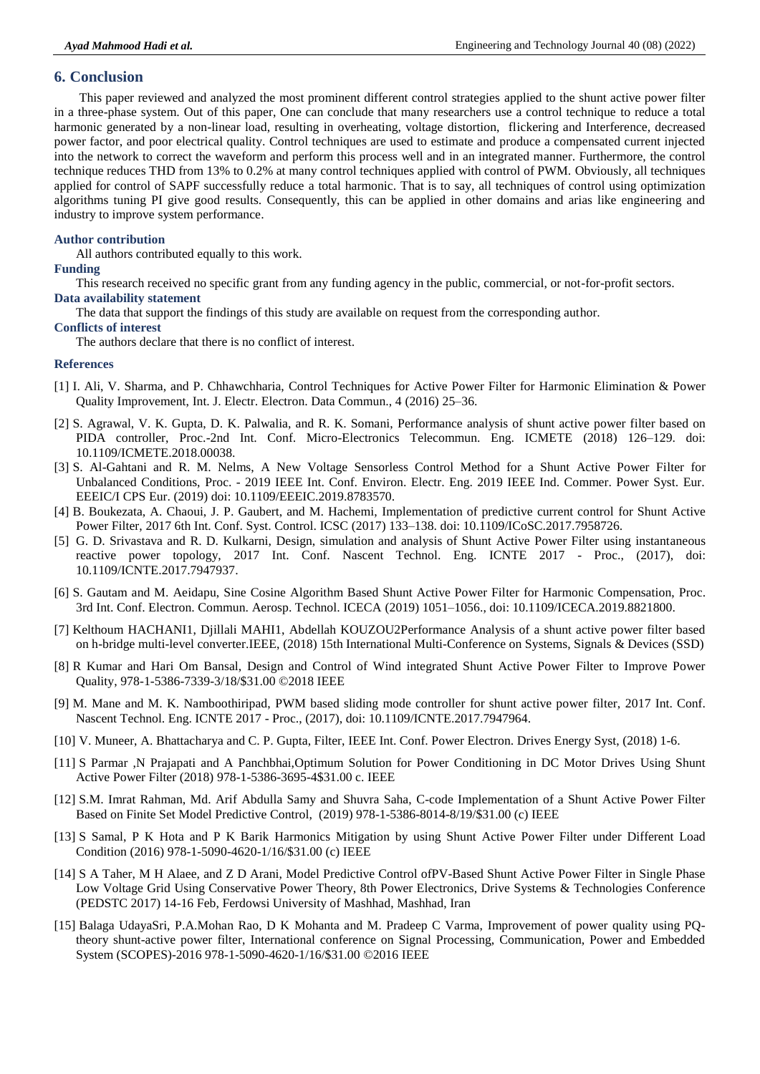## **6. Conclusion**

This paper reviewed and analyzed the most prominent different control strategies applied to the shunt active power filter in a three-phase system. Out of this paper, One can conclude that many researchers use a control technique to reduce a total harmonic generated by a non-linear load, resulting in overheating, voltage distortion, flickering and Interference, decreased power factor, and poor electrical quality. Control techniques are used to estimate and produce a compensated current injected into the network to correct the waveform and perform this process well and in an integrated manner. Furthermore, the control technique reduces THD from 13% to 0.2% at many control techniques applied with control of PWM. Obviously, all techniques applied for control of SAPF successfully reduce a total harmonic. That is to say, all techniques of control using optimization algorithms tuning PI give good results. Consequently, this can be applied in other domains and arias like engineering and industry to improve system performance.

#### **Author contribution**

All authors contributed equally to this work.

#### **Funding**

This research received no specific grant from any funding agency in the public, commercial, or not-for-profit sectors.

# **Data availability statement**

The data that support the findings of this study are available on request from the corresponding author.

#### **Conflicts of interest**

The authors declare that there is no conflict of interest.

#### **References**

- [1] I. Ali, V. Sharma, and P. Chhawchharia, Control Techniques for Active Power Filter for Harmonic Elimination & Power Quality Improvement, Int. J. Electr. Electron. Data Commun., 4 (2016) 25–36.
- [2] S. Agrawal, V. K. Gupta, D. K. Palwalia, and R. K. Somani, Performance analysis of shunt active power filter based on PIDA controller, Proc.-2nd Int. Conf. Micro-Electronics Telecommun. Eng. ICMETE (2018) 126–129. doi: 10.1109/ICMETE.2018.00038.
- [3] S. Al-Gahtani and R. M. Nelms, A New Voltage Sensorless Control Method for a Shunt Active Power Filter for Unbalanced Conditions, Proc. - 2019 IEEE Int. Conf. Environ. Electr. Eng. 2019 IEEE Ind. Commer. Power Syst. Eur. EEEIC/I CPS Eur. (2019) doi: 10.1109/EEEIC.2019.8783570.
- [4] B. Boukezata, A. Chaoui, J. P. Gaubert, and M. Hachemi, Implementation of predictive current control for Shunt Active Power Filter, 2017 6th Int. Conf. Syst. Control. ICSC (2017) 133–138. doi: 10.1109/ICoSC.2017.7958726.
- [5] G. D. Srivastava and R. D. Kulkarni, Design, simulation and analysis of Shunt Active Power Filter using instantaneous reactive power topology, 2017 Int. Conf. Nascent Technol. Eng. ICNTE 2017 - Proc., (2017), doi: 10.1109/ICNTE.2017.7947937.
- [6] S. Gautam and M. Aeidapu, Sine Cosine Algorithm Based Shunt Active Power Filter for Harmonic Compensation, Proc. 3rd Int. Conf. Electron. Commun. Aerosp. Technol. ICECA (2019) 1051–1056., doi: 10.1109/ICECA.2019.8821800.
- [7] Kelthoum HACHANI1, Djillali MAHI1, Abdellah KOUZOU2Performance Analysis of a shunt active power filter based on h-bridge multi-level converter.IEEE, (2018) 15th International Multi-Conference on Systems, Signals & Devices (SSD)
- [8] R Kumar and Hari Om Bansal, Design and Control of Wind integrated Shunt Active Power Filter to Improve Power Quality, 978-1-5386-7339-3/18/\$31.00 ©2018 IEEE
- [9] M. Mane and M. K. Namboothiripad, PWM based sliding mode controller for shunt active power filter, 2017 Int. Conf. Nascent Technol. Eng. ICNTE 2017 - Proc., (2017), doi: 10.1109/ICNTE.2017.7947964.
- [10] V. Muneer, A. Bhattacharya and C. P. Gupta, Filter, IEEE Int. Conf. Power Electron. Drives Energy Syst, (2018) 1-6.
- [11] S Parmar ,N Prajapati and A Panchbhai,Optimum Solution for Power Conditioning in DC Motor Drives Using Shunt Active Power Filter (2018) 978-1-5386-3695-4\$31.00 c. IEEE
- [12] S.M. Imrat Rahman, Md. Arif Abdulla Samy and Shuvra Saha, C-code Implementation of a Shunt Active Power Filter Based on Finite Set Model Predictive Control, (2019) 978-1-5386-8014-8/19/\$31.00 (c) IEEE
- [13] S Samal, P K Hota and P K Barik Harmonics Mitigation by using Shunt Active Power Filter under Different Load Condition (2016) 978-1-5090-4620-1/16/\$31.00 (c) IEEE
- [14] S A Taher, M H Alaee, and Z D Arani, Model Predictive Control ofPV-Based Shunt Active Power Filter in Single Phase Low Voltage Grid Using Conservative Power Theory, 8th Power Electronics, Drive Systems & Technologies Conference (PEDSTC 2017) 14-16 Feb, Ferdowsi University of Mashhad, Mashhad, Iran
- [15] Balaga UdayaSri, P.A.Mohan Rao, D K Mohanta and M. Pradeep C Varma, Improvement of power quality using PQtheory shunt-active power filter, International conference on Signal Processing, Communication, Power and Embedded System (SCOPES)-2016 978-1-5090-4620-1/16/\$31.00 ©2016 IEEE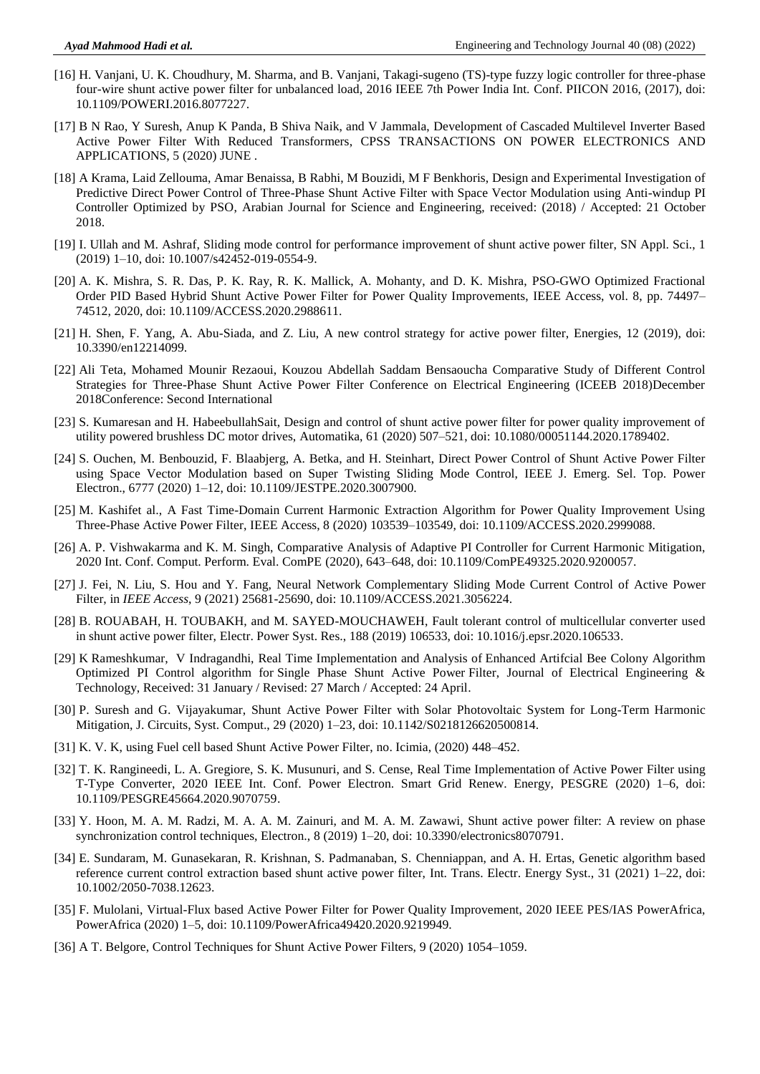- [16] H. Vanjani, U. K. Choudhury, M. Sharma, and B. Vanjani, Takagi-sugeno (TS)-type fuzzy logic controller for three-phase four-wire shunt active power filter for unbalanced load, 2016 IEEE 7th Power India Int. Conf. PIICON 2016, (2017), doi: 10.1109/POWERI.2016.8077227.
- [17] B N Rao, Y Suresh, Anup K Panda, B Shiva Naik, and V Jammala, Development of Cascaded Multilevel Inverter Based Active Power Filter With Reduced Transformers, CPSS TRANSACTIONS ON POWER ELECTRONICS AND APPLICATIONS, 5 (2020) JUNE .
- [18] A Krama, Laid Zellouma, Amar Benaissa, B Rabhi, M Bouzidi, M F Benkhoris, Design and Experimental Investigation of Predictive Direct Power Control of Three-Phase Shunt Active Filter with Space Vector Modulation using Anti-windup PI Controller Optimized by PSO, Arabian Journal for Science and Engineering, received: (2018) / Accepted: 21 October 2018.
- [19] I. Ullah and M. Ashraf, Sliding mode control for performance improvement of shunt active power filter, SN Appl. Sci., 1 (2019) 1–10, doi: 10.1007/s42452-019-0554-9.
- [20] A. K. Mishra, S. R. Das, P. K. Ray, R. K. Mallick, A. Mohanty, and D. K. Mishra, PSO-GWO Optimized Fractional Order PID Based Hybrid Shunt Active Power Filter for Power Quality Improvements, IEEE Access, vol. 8, pp. 74497– 74512, 2020, doi: 10.1109/ACCESS.2020.2988611.
- [21] H. Shen, F. Yang, A. Abu-Siada, and Z. Liu, A new control strategy for active power filter, Energies, 12 (2019), doi: 10.3390/en12214099.
- [22] [Ali Teta,](https://www.researchgate.net/profile/Ali-Teta?_sg%5B0%5D=cS5MmXCtHYoMeFSHtFtjjHYetwqmAW2t-bZMU29FRjvl1tYdkJ_HLefwYdF_XRGwVPNUiuY.TlNSj5PY72y5UgR87a2070-WB-dgg-ppuxqSTx8J9H2AZl97l1TyqWgQZ7oUrnkt8vEUldTqJaZ8m1z-3SJzkw&_sg%5B1%5D=RbGUhV1jBYgro3T9NDX4U24vQ9NeWQm23G5OgPUt6exP9VEvHDHg_Yn1I3fqQTnJpThcuYY.upiidGQ-C8_nACnP5VZ7hRkl-IiCis6sUhq83-6m5whCl1VycQShW0iYdU-Qs06mPESxk9kwnsQIJwf5eziMSw) Mohamed [Mounir Rezaoui,](https://www.researchgate.net/profile/Mohamed-Rezaoui?_sg%5B0%5D=cS5MmXCtHYoMeFSHtFtjjHYetwqmAW2t-bZMU29FRjvl1tYdkJ_HLefwYdF_XRGwVPNUiuY.TlNSj5PY72y5UgR87a2070-WB-dgg-ppuxqSTx8J9H2AZl97l1TyqWgQZ7oUrnkt8vEUldTqJaZ8m1z-3SJzkw&_sg%5B1%5D=RbGUhV1jBYgro3T9NDX4U24vQ9NeWQm23G5OgPUt6exP9VEvHDHg_Yn1I3fqQTnJpThcuYY.upiidGQ-C8_nACnP5VZ7hRkl-IiCis6sUhq83-6m5whCl1VycQShW0iYdU-Qs06mPESxk9kwnsQIJwf5eziMSw) Kouzou [Abdellah](https://www.researchgate.net/profile/Kouzou-Abdellah?_sg%5B0%5D=cS5MmXCtHYoMeFSHtFtjjHYetwqmAW2t-bZMU29FRjvl1tYdkJ_HLefwYdF_XRGwVPNUiuY.TlNSj5PY72y5UgR87a2070-WB-dgg-ppuxqSTx8J9H2AZl97l1TyqWgQZ7oUrnkt8vEUldTqJaZ8m1z-3SJzkw&_sg%5B1%5D=RbGUhV1jBYgro3T9NDX4U24vQ9NeWQm23G5OgPUt6exP9VEvHDHg_Yn1I3fqQTnJpThcuYY.upiidGQ-C8_nACnP5VZ7hRkl-IiCis6sUhq83-6m5whCl1VycQShW0iYdU-Qs06mPESxk9kwnsQIJwf5eziMSw) [Saddam Bensaoucha](https://www.researchgate.net/profile/Saddam-Bensaoucha?_sg%5B0%5D=cS5MmXCtHYoMeFSHtFtjjHYetwqmAW2t-bZMU29FRjvl1tYdkJ_HLefwYdF_XRGwVPNUiuY.TlNSj5PY72y5UgR87a2070-WB-dgg-ppuxqSTx8J9H2AZl97l1TyqWgQZ7oUrnkt8vEUldTqJaZ8m1z-3SJzkw&_sg%5B1%5D=RbGUhV1jBYgro3T9NDX4U24vQ9NeWQm23G5OgPUt6exP9VEvHDHg_Yn1I3fqQTnJpThcuYY.upiidGQ-C8_nACnP5VZ7hRkl-IiCis6sUhq83-6m5whCl1VycQShW0iYdU-Qs06mPESxk9kwnsQIJwf5eziMSw) Comparative Study of Different Control Strategies for Three-Phase Shunt Active Power Filter Conference on Electrical Engineering (ICEEB 2018)December 2018Conference: Second International
- [23] S. Kumaresan and H. HabeebullahSait, Design and control of shunt active power filter for power quality improvement of utility powered brushless DC motor drives, Automatika, 61 (2020) 507–521, doi: 10.1080/00051144.2020.1789402.
- [24] S. Ouchen, M. Benbouzid, F. Blaabjerg, A. Betka, and H. Steinhart, Direct Power Control of Shunt Active Power Filter using Space Vector Modulation based on Super Twisting Sliding Mode Control, IEEE J. Emerg. Sel. Top. Power Electron., 6777 (2020) 1–12, doi: 10.1109/JESTPE.2020.3007900.
- [25] M. Kashifet al., A Fast Time-Domain Current Harmonic Extraction Algorithm for Power Quality Improvement Using Three-Phase Active Power Filter, IEEE Access, 8 (2020) 103539–103549, doi: 10.1109/ACCESS.2020.2999088.
- [26] A. P. Vishwakarma and K. M. Singh, Comparative Analysis of Adaptive PI Controller for Current Harmonic Mitigation, 2020 Int. Conf. Comput. Perform. Eval. ComPE (2020), 643–648, doi: 10.1109/ComPE49325.2020.9200057.
- [27] J. Fei, N. Liu, S. Hou and Y. Fang, Neural Network Complementary Sliding Mode Current Control of Active Power Filter, in *IEEE Access*, 9 (2021) 25681-25690, doi: 10.1109/ACCESS.2021.3056224.
- [28] B. ROUABAH, H. TOUBAKH, and M. SAYED-MOUCHAWEH, Fault tolerant control of multicellular converter used in shunt active power filter, Electr. Power Syst. Res., 188 (2019) 106533, doi: 10.1016/j.epsr.2020.106533.
- [29] K Rameshkumar, V Indragandhi, Real Time Implementation and Analysis of Enhanced Artifcial Bee Colony Algorithm Optimized PI Control algorithm for Single Phase Shunt Active Power Filter, Journal of Electrical Engineering & Technology, Received: 31 January / Revised: 27 March / Accepted: 24 April.
- [30] P. Suresh and G. Vijayakumar, Shunt Active Power Filter with Solar Photovoltaic System for Long-Term Harmonic Mitigation, J. Circuits, Syst. Comput., 29 (2020) 1–23, doi: 10.1142/S0218126620500814.
- [31] K. V. K, using Fuel cell based Shunt Active Power Filter, no. Icimia, (2020) 448–452.
- [32] T. K. Rangineedi, L. A. Gregiore, S. K. Musunuri, and S. Cense, Real Time Implementation of Active Power Filter using T-Type Converter, 2020 IEEE Int. Conf. Power Electron. Smart Grid Renew. Energy, PESGRE (2020) 1–6, doi: 10.1109/PESGRE45664.2020.9070759.
- [33] Y. Hoon, M. A. M. Radzi, M. A. A. M. Zainuri, and M. A. M. Zawawi, Shunt active power filter: A review on phase synchronization control techniques, Electron., 8 (2019) 1–20, doi: 10.3390/electronics8070791.
- [34] E. Sundaram, M. Gunasekaran, R. Krishnan, S. Padmanaban, S. Chenniappan, and A. H. Ertas, Genetic algorithm based reference current control extraction based shunt active power filter, Int. Trans. Electr. Energy Syst., 31 (2021) 1–22, doi: 10.1002/2050-7038.12623.
- [35] F. Mulolani, Virtual-Flux based Active Power Filter for Power Quality Improvement, 2020 IEEE PES/IAS PowerAfrica, PowerAfrica (2020) 1–5, doi: 10.1109/PowerAfrica49420.2020.9219949.
- [36] A T. Belgore, Control Techniques for Shunt Active Power Filters, 9 (2020) 1054–1059.